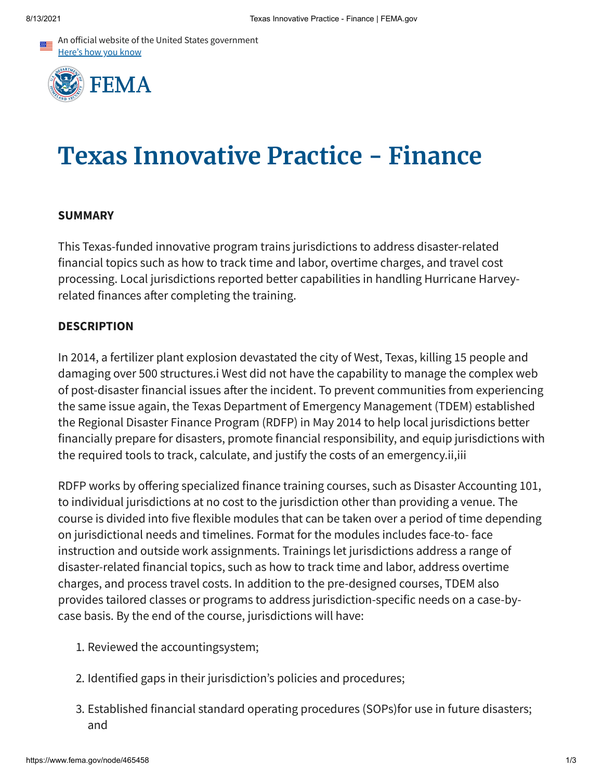An official website of the United States government Here's how you know



# **Texas Innovative Practice - Finance**

#### **SUMMARY**

This Texas-funded innovative program trains jurisdictions to address disaster-related financial topics such as how to track time and labor, overtime charges, and travel cost processing. Local jurisdictions reported better capabilities in handling Hurricane Harveyrelated finances after completing the training.

#### **DESCRIPTION**

In 2014, a fertilizer plant explosion devastated the city of West, Texas, killing 15 people and damaging over 500 structures.i West did not have the capability to manage the complex web of post-disaster financial issues after the incident. To prevent communities from experiencing the same issue again, the Texas Department of Emergency Management (TDEM) established the Regional Disaster Finance Program (RDFP) in May 2014 to help local jurisdictions better financially prepare for disasters, promote financial responsibility, and equip jurisdictions with the required tools to track, calculate, and justify the costs of an emergency.ii,iii

RDFP works by offering specialized finance training courses, such as Disaster Accounting 101, to individual jurisdictions at no cost to the jurisdiction other than providing a venue. The course is divided into five flexible modules that can be taken over a period of time depending on jurisdictional needs and timelines. Format for the modules includes face-to- face instruction and outside work assignments. Trainings let jurisdictions address a range of disaster-related financial topics, such as how to track time and labor, address overtime charges, and process travel costs. In addition to the pre-designed courses, TDEM also provides tailored classes or programs to address jurisdiction-specific needs on a case-bycase basis. By the end of the course, jurisdictions will have:

- 1. Reviewed the accountingsystem;
- 2. Identified gaps in their jurisdiction's policies and procedures;
- 3. Established financial standard operating procedures (SOPs)for use in future disasters; and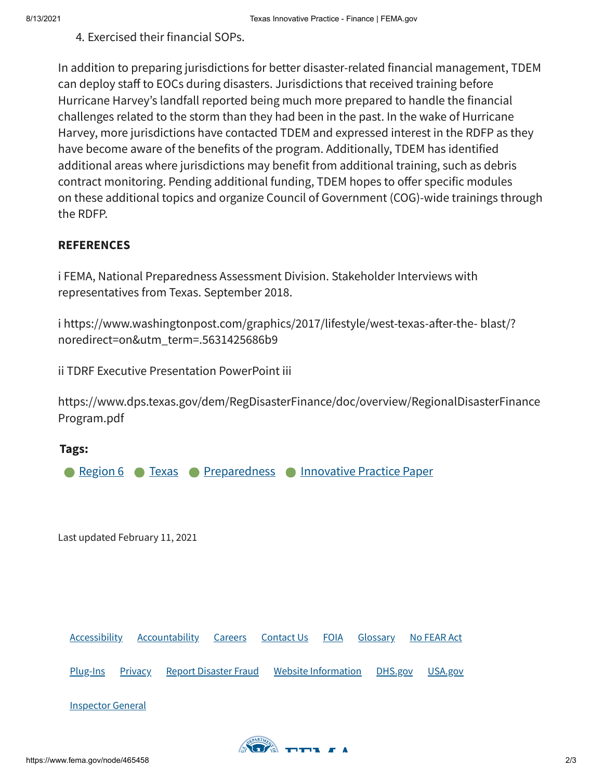## 4. Exercised their financial SOPs.

In addition to preparing jurisdictions for better disaster-related financial management, TDEM can deploy staff to EOCs during disasters. Jurisdictions that received training before Hurricane Harvey's landfall reported being much more prepared to handle the financial challenges related to the storm than they had been in the past. In the wake of Hurricane Harvey, more jurisdictions have contacted TDEM and expressed interest in the RDFP as they have become aware of the benefits of the program. Additionally, TDEM has identified additional areas where jurisdictions may benefit from additional training, such as debris contract monitoring. Pending additional funding, TDEM hopes to offer specific modules on these additional topics and organize Council of Government (COG)-wide trainings through the RDFP.

## **REFERENCES**

i FEMA, National Preparedness Assessment Division. Stakeholder Interviews with representatives from Texas. September 2018.

i https://www.washingtonpost.com/graphics/2017/lifestyle/west-texas-after-the- blast/? noredirect=on&utm\_term=.5631425686b9

ii TDRF Executive Presentation PowerPoint iii

https://www.dps.texas.gov/dem/RegDisasterFinance/doc/overview/RegionalDisasterFinance Program.pdf

# **Tags: [Region](https://www.fema.gov/content?type=All&field_related_locations_target_id=49207) 6 [Preparedness](https://www.fema.gov/content?type=All&field_keywords_target_id=49909) [Innovative](https://www.fema.gov/content?type=All&field_keywords_target_id=50658) Practice Paper** Last updated February 11, 2021 [Accessibility](https://www.fema.gov/accessibility) [Accountability](https://www.fema.gov/about/reports-and-data/annual-reports) [Careers](https://www.fema.gov/careers) [Contact](https://www.fema.gov/about/contact) Us [FOIA](https://www.fema.gov/foia) [Glossary](https://www.fema.gov/about/glossary) No [FEAR](https://www.fema.gov/about/organization/equal-rights/no-fear-act) Act [Plug-Ins](https://www.fema.gov/about/website-information/plug-ins) [Privacy](https://www.fema.gov/about/privacy-policy) Report [Disaster](https://www.fema.gov/about/organization/security/disaster-fraud) Fraud Website [Information](https://www.fema.gov/about/website-information) [DHS.gov](https://dhs.gov/) [USA.gov](https://usa.gov/) [Inspector](https://www.oig.dhs.gov/) General